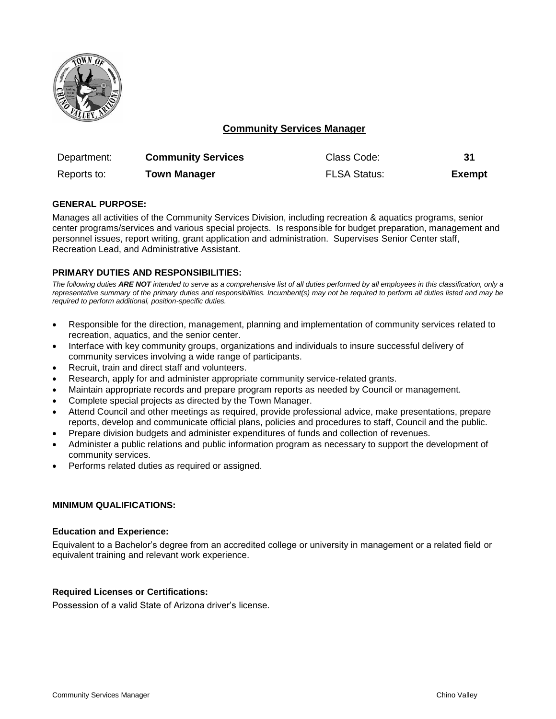

# **Community Services Manager**

| Department: | <b>Community Services</b> | Class Code:         | 31            |
|-------------|---------------------------|---------------------|---------------|
| Reports to: | <b>Town Manager</b>       | <b>FLSA Status:</b> | <b>Exempt</b> |

## **GENERAL PURPOSE:**

Manages all activities of the Community Services Division, including recreation & aquatics programs, senior center programs/services and various special projects. Is responsible for budget preparation, management and personnel issues, report writing, grant application and administration. Supervises Senior Center staff, Recreation Lead, and Administrative Assistant.

## **PRIMARY DUTIES AND RESPONSIBILITIES:**

*The following duties ARE NOT intended to serve as a comprehensive list of all duties performed by all employees in this classification, only a representative summary of the primary duties and responsibilities. Incumbent(s) may not be required to perform all duties listed and may be required to perform additional, position-specific duties.*

- Responsible for the direction, management, planning and implementation of community services related to recreation, aquatics, and the senior center.
- Interface with key community groups, organizations and individuals to insure successful delivery of community services involving a wide range of participants.
- Recruit, train and direct staff and volunteers.
- Research, apply for and administer appropriate community service-related grants.
- Maintain appropriate records and prepare program reports as needed by Council or management.
- Complete special projects as directed by the Town Manager.
- Attend Council and other meetings as required, provide professional advice, make presentations, prepare reports, develop and communicate official plans, policies and procedures to staff, Council and the public.
- Prepare division budgets and administer expenditures of funds and collection of revenues.
- Administer a public relations and public information program as necessary to support the development of community services.
- Performs related duties as required or assigned.

### **MINIMUM QUALIFICATIONS:**

#### **Education and Experience:**

Equivalent to a Bachelor's degree from an accredited college or university in management or a related field or equivalent training and relevant work experience.

#### **Required Licenses or Certifications:**

Possession of a valid State of Arizona driver's license.